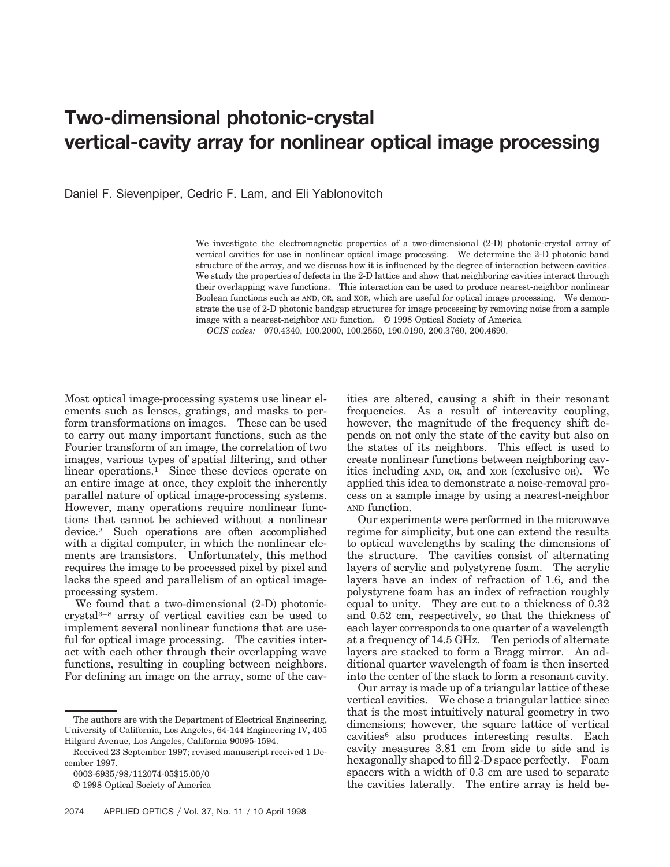## **Two-dimensional photonic-crystal vertical-cavity array for nonlinear optical image processing**

Daniel F. Sievenpiper, Cedric F. Lam, and Eli Yablonovitch

We investigate the electromagnetic properties of a two-dimensional  $(2-D)$  photonic-crystal array of vertical cavities for use in nonlinear optical image processing. We determine the 2-D photonic band structure of the array, and we discuss how it is influenced by the degree of interaction between cavities. We study the properties of defects in the 2-D lattice and show that neighboring cavities interact through their overlapping wave functions. This interaction can be used to produce nearest-neighbor nonlinear Boolean functions such as AND, OR, and XOR, which are useful for optical image processing. We demonstrate the use of 2-D photonic bandgap structures for image processing by removing noise from a sample image with a nearest-neighbor AND function. © 1998 Optical Society of America

*OCIS codes:* 070.4340, 100.2000, 100.2550, 190.0190, 200.3760, 200.4690.

Most optical image-processing systems use linear elements such as lenses, gratings, and masks to perform transformations on images. These can be used to carry out many important functions, such as the Fourier transform of an image, the correlation of two images, various types of spatial filtering, and other linear operations.<sup>1</sup> Since these devices operate on an entire image at once, they exploit the inherently parallel nature of optical image-processing systems. However, many operations require nonlinear functions that cannot be achieved without a nonlinear device.2 Such operations are often accomplished with a digital computer, in which the nonlinear elements are transistors. Unfortunately, this method requires the image to be processed pixel by pixel and lacks the speed and parallelism of an optical imageprocessing system.

We found that a two-dimensional  $(2-D)$  photoniccrystal3–8 array of vertical cavities can be used to implement several nonlinear functions that are useful for optical image processing. The cavities interact with each other through their overlapping wave functions, resulting in coupling between neighbors. For defining an image on the array, some of the cavities are altered, causing a shift in their resonant frequencies. As a result of intercavity coupling, however, the magnitude of the frequency shift depends on not only the state of the cavity but also on the states of its neighbors. This effect is used to create nonlinear functions between neighboring cavities including  $AND$ ,  $OR$ , and  $XOR$  (exclusive  $OR$ ). We applied this idea to demonstrate a noise-removal process on a sample image by using a nearest-neighbor AND function.

Our experiments were performed in the microwave regime for simplicity, but one can extend the results to optical wavelengths by scaling the dimensions of the structure. The cavities consist of alternating layers of acrylic and polystyrene foam. The acrylic layers have an index of refraction of 1.6, and the polystyrene foam has an index of refraction roughly equal to unity. They are cut to a thickness of 0.32 and 0.52 cm, respectively, so that the thickness of each layer corresponds to one quarter of a wavelength at a frequency of 14.5 GHz. Ten periods of alternate layers are stacked to form a Bragg mirror. An additional quarter wavelength of foam is then inserted into the center of the stack to form a resonant cavity.

Our array is made up of a triangular lattice of these vertical cavities. We chose a triangular lattice since that is the most intuitively natural geometry in two dimensions; however, the square lattice of vertical cavities6 also produces interesting results. Each cavity measures 3.81 cm from side to side and is hexagonally shaped to fill 2-D space perfectly. Foam spacers with a width of 0.3 cm are used to separate the cavities laterally. The entire array is held be-

The authors are with the Department of Electrical Engineering, University of California, Los Angeles, 64-144 Engineering IV, 405 Hilgard Avenue, Los Angeles, California 90095-1594.

Received 23 September 1997; revised manuscript received 1 December 1997.

<sup>0003-6935/98/112074-05\$15.00/0</sup> 

<sup>© 1998</sup> Optical Society of America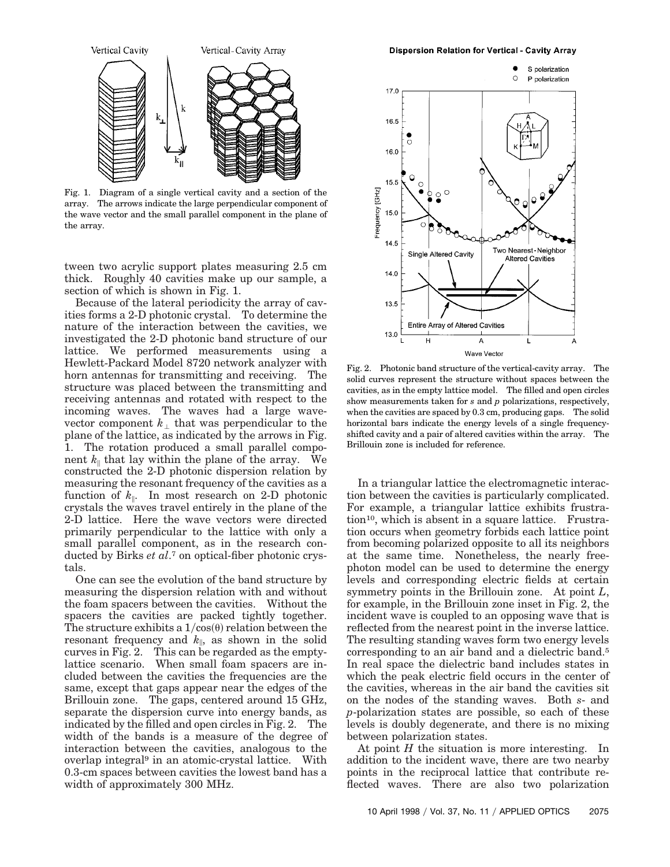

Fig. 1. Diagram of a single vertical cavity and a section of the array. The arrows indicate the large perpendicular component of the wave vector and the small parallel component in the plane of the array.

tween two acrylic support plates measuring 2.5 cm thick. Roughly 40 cavities make up our sample, a section of which is shown in Fig. 1.

Because of the lateral periodicity the array of cavities forms a 2-D photonic crystal. To determine the nature of the interaction between the cavities, we investigated the 2-D photonic band structure of our lattice. We performed measurements using a Hewlett-Packard Model 8720 network analyzer with horn antennas for transmitting and receiving. The structure was placed between the transmitting and receiving antennas and rotated with respect to the incoming waves. The waves had a large wavevector component  $k_{\perp}$  that was perpendicular to the plane of the lattice, as indicated by the arrows in Fig. 1. The rotation produced a small parallel component  $k_{\parallel}$  that lay within the plane of the array. We constructed the 2-D photonic dispersion relation by measuring the resonant frequency of the cavities as a function of  $k_{\parallel}$ . In most research on 2-D photonic crystals the waves travel entirely in the plane of the 2-D lattice. Here the wave vectors were directed primarily perpendicular to the lattice with only a small parallel component, as in the research conducted by Birks *et al*.7 on optical-fiber photonic crystals.

One can see the evolution of the band structure by measuring the dispersion relation with and without the foam spacers between the cavities. Without the spacers the cavities are packed tightly together. The structure exhibits a  $1/\cos(\theta)$  relation between the resonant frequency and  $k_{\parallel}$ , as shown in the solid curves in Fig. 2. This can be regarded as the emptylattice scenario. When small foam spacers are included between the cavities the frequencies are the same, except that gaps appear near the edges of the Brillouin zone. The gaps, centered around 15 GHz, separate the dispersion curve into energy bands, as indicated by the filled and open circles in Fig. 2. The width of the bands is a measure of the degree of interaction between the cavities, analogous to the overlap integral9 in an atomic-crystal lattice. With 0.3-cm spaces between cavities the lowest band has a width of approximately 300 MHz.



Fig. 2. Photonic band structure of the vertical-cavity array. The solid curves represent the structure without spaces between the cavities, as in the empty lattice model. The filled and open circles show measurements taken for *s* and *p* polarizations, respectively, when the cavities are spaced by 0.3 cm, producing gaps. The solid horizontal bars indicate the energy levels of a single frequencyshifted cavity and a pair of altered cavities within the array. The Brillouin zone is included for reference.

In a triangular lattice the electromagnetic interaction between the cavities is particularly complicated. For example, a triangular lattice exhibits frustration10, which is absent in a square lattice. Frustration occurs when geometry forbids each lattice point from becoming polarized opposite to all its neighbors at the same time. Nonetheless, the nearly freephoton model can be used to determine the energy levels and corresponding electric fields at certain symmetry points in the Brillouin zone. At point *L*, for example, in the Brillouin zone inset in Fig. 2, the incident wave is coupled to an opposing wave that is reflected from the nearest point in the inverse lattice. The resulting standing waves form two energy levels corresponding to an air band and a dielectric band.5 In real space the dielectric band includes states in which the peak electric field occurs in the center of the cavities, whereas in the air band the cavities sit on the nodes of the standing waves. Both *s*- and *p*-polarization states are possible, so each of these levels is doubly degenerate, and there is no mixing between polarization states.

At point *H* the situation is more interesting. In addition to the incident wave, there are two nearby points in the reciprocal lattice that contribute reflected waves. There are also two polarization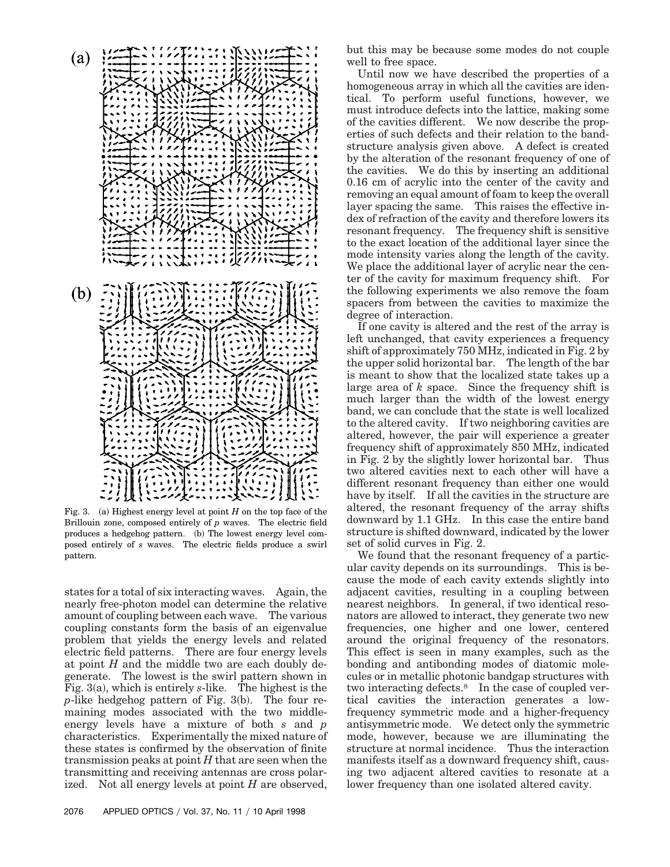

Fig. 3.  $\alpha$  Highest energy level at point *H* on the top face of the Brillouin zone, composed entirely of *p* waves. The electric field produces a hedgehog pattern. (b) The lowest energy level composed entirely of *s* waves. The electric fields produce a swirl pattern.

states for a total of six interacting waves. Again, the nearly free-photon model can determine the relative amount of coupling between each wave. The various coupling constants form the basis of an eigenvalue problem that yields the energy levels and related electric field patterns. There are four energy levels at point *H* and the middle two are each doubly degenerate. The lowest is the swirl pattern shown in Fig.  $3(a)$ , which is entirely *s*-like. The highest is the  $p$ -like hedgehog pattern of Fig. 3 $(b)$ . The four remaining modes associated with the two middleenergy levels have a mixture of both *s* and *p* characteristics. Experimentally the mixed nature of these states is confirmed by the observation of finite transmission peaks at point *H* that are seen when the transmitting and receiving antennas are cross polarized. Not all energy levels at point *H* are observed,

2076 APPLIED OPTICS / Vol. 37, No. 11 / 10 April 1998

but this may be because some modes do not couple well to free space.

Until now we have described the properties of a homogeneous array in which all the cavities are identical. To perform useful functions, however, we must introduce defects into the lattice, making some of the cavities different. We now describe the properties of such defects and their relation to the bandstructure analysis given above. A defect is created by the alteration of the resonant frequency of one of the cavities. We do this by inserting an additional 0.16 cm of acrylic into the center of the cavity and removing an equal amount of foam to keep the overall layer spacing the same. This raises the effective index of refraction of the cavity and therefore lowers its resonant frequency. The frequency shift is sensitive to the exact location of the additional layer since the mode intensity varies along the length of the cavity. We place the additional layer of acrylic near the center of the cavity for maximum frequency shift. For the following experiments we also remove the foam spacers from between the cavities to maximize the degree of interaction.

If one cavity is altered and the rest of the array is left unchanged, that cavity experiences a frequency shift of approximately 750 MHz, indicated in Fig. 2 by the upper solid horizontal bar. The length of the bar is meant to show that the localized state takes up a large area of *k* space. Since the frequency shift is much larger than the width of the lowest energy band, we can conclude that the state is well localized to the altered cavity. If two neighboring cavities are altered, however, the pair will experience a greater frequency shift of approximately 850 MHz, indicated in Fig. 2 by the slightly lower horizontal bar. Thus two altered cavities next to each other will have a different resonant frequency than either one would have by itself. If all the cavities in the structure are altered, the resonant frequency of the array shifts downward by 1.1 GHz. In this case the entire band structure is shifted downward, indicated by the lower set of solid curves in Fig. 2.

We found that the resonant frequency of a particular cavity depends on its surroundings. This is because the mode of each cavity extends slightly into adjacent cavities, resulting in a coupling between nearest neighbors. In general, if two identical resonators are allowed to interact, they generate two new frequencies, one higher and one lower, centered around the original frequency of the resonators. This effect is seen in many examples, such as the bonding and antibonding modes of diatomic molecules or in metallic photonic bandgap structures with two interacting defects.8 In the case of coupled vertical cavities the interaction generates a lowfrequency symmetric mode and a higher-frequency antisymmetric mode. We detect only the symmetric mode, however, because we are illuminating the structure at normal incidence. Thus the interaction manifests itself as a downward frequency shift, causing two adjacent altered cavities to resonate at a lower frequency than one isolated altered cavity.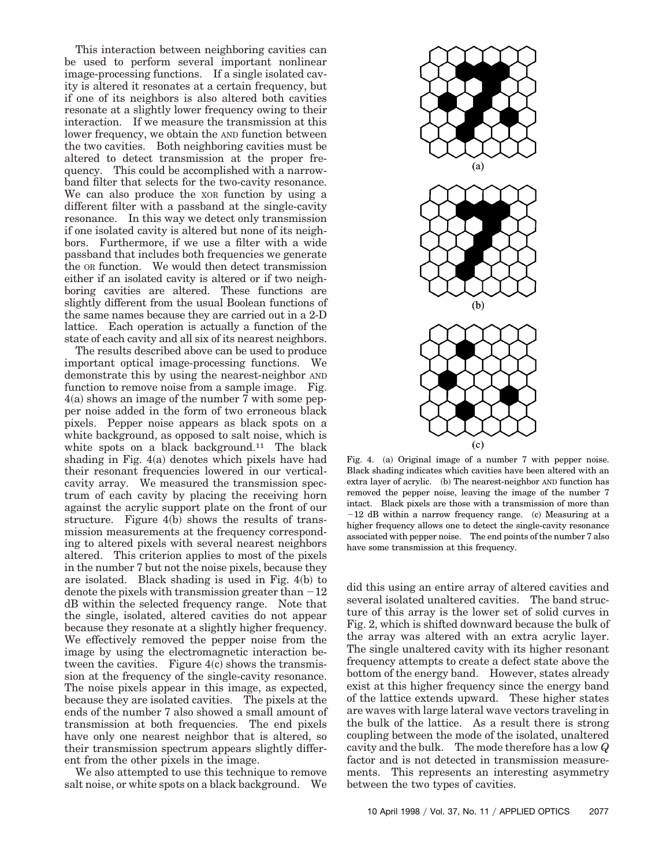This interaction between neighboring cavities can be used to perform several important nonlinear image-processing functions. If a single isolated cavity is altered it resonates at a certain frequency, but if one of its neighbors is also altered both cavities resonate at a slightly lower frequency owing to their interaction. If we measure the transmission at this lower frequency, we obtain the AND function between the two cavities. Both neighboring cavities must be altered to detect transmission at the proper frequency. This could be accomplished with a narrowband filter that selects for the two-cavity resonance. We can also produce the XOR function by using a different filter with a passband at the single-cavity resonance. In this way we detect only transmission if one isolated cavity is altered but none of its neighbors. Furthermore, if we use a filter with a wide passband that includes both frequencies we generate the OR function. We would then detect transmission either if an isolated cavity is altered or if two neighboring cavities are altered. These functions are slightly different from the usual Boolean functions of the same names because they are carried out in a 2-D lattice. Each operation is actually a function of the state of each cavity and all six of its nearest neighbors.

The results described above can be used to produce important optical image-processing functions. We demonstrate this by using the nearest-neighbor AND function to remove noise from a sample image. Fig.  $4(a)$  shows an image of the number 7 with some pepper noise added in the form of two erroneous black pixels. Pepper noise appears as black spots on a white background, as opposed to salt noise, which is white spots on a black background.<sup>11</sup> The black shading in Fig.  $4(a)$  denotes which pixels have had their resonant frequencies lowered in our verticalcavity array. We measured the transmission spectrum of each cavity by placing the receiving horn against the acrylic support plate on the front of our structure. Figure  $4(b)$  shows the results of transmission measurements at the frequency corresponding to altered pixels with several nearest neighbors altered. This criterion applies to most of the pixels in the number 7 but not the noise pixels, because they are isolated. Black shading is used in Fig.  $4(b)$  to denote the pixels with transmission greater than  $-12$ dB within the selected frequency range. Note that the single, isolated, altered cavities do not appear because they resonate at a slightly higher frequency. We effectively removed the pepper noise from the image by using the electromagnetic interaction between the cavities. Figure  $4(c)$  shows the transmission at the frequency of the single-cavity resonance. The noise pixels appear in this image, as expected, because they are isolated cavities. The pixels at the ends of the number 7 also showed a small amount of transmission at both frequencies. The end pixels have only one nearest neighbor that is altered, so their transmission spectrum appears slightly different from the other pixels in the image.

We also attempted to use this technique to remove salt noise, or white spots on a black background. We



Fig. 4. (a) Original image of a number  $7$  with pepper noise. Black shading indicates which cavities have been altered with an extra layer of acrylic. (b) The nearest-neighbor AND function has removed the pepper noise, leaving the image of the number 7 intact. Black pixels are those with a transmission of more than  $-12$  dB within a narrow frequency range.  $\alpha$  Measuring at a higher frequency allows one to detect the single-cavity resonance associated with pepper noise. The end points of the number 7 also have some transmission at this frequency.

did this using an entire array of altered cavities and several isolated unaltered cavities. The band structure of this array is the lower set of solid curves in Fig. 2, which is shifted downward because the bulk of the array was altered with an extra acrylic layer. The single unaltered cavity with its higher resonant frequency attempts to create a defect state above the bottom of the energy band. However, states already exist at this higher frequency since the energy band of the lattice extends upward. These higher states are waves with large lateral wave vectors traveling in the bulk of the lattice. As a result there is strong coupling between the mode of the isolated, unaltered cavity and the bulk. The mode therefore has a low *Q* factor and is not detected in transmission measurements. This represents an interesting asymmetry between the two types of cavities.